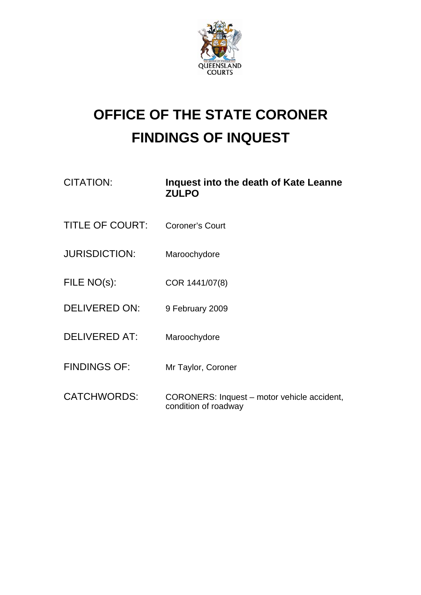

## **OFFICE OF THE STATE CORONER FINDINGS OF INQUEST**

| <b>CITATION:</b>       | Inquest into the death of Kate Leanne<br><b>ZULPO</b>               |
|------------------------|---------------------------------------------------------------------|
| <b>TITLE OF COURT:</b> | <b>Coroner's Court</b>                                              |
| <b>JURISDICTION:</b>   | Maroochydore                                                        |
| FILE NO(s):            | COR 1441/07(8)                                                      |
| <b>DELIVERED ON:</b>   | 9 February 2009                                                     |
| <b>DELIVERED AT:</b>   | Maroochydore                                                        |
| <b>FINDINGS OF:</b>    | Mr Taylor, Coroner                                                  |
| <b>CATCHWORDS:</b>     | CORONERS: Inquest – motor vehicle accident,<br>condition of roadway |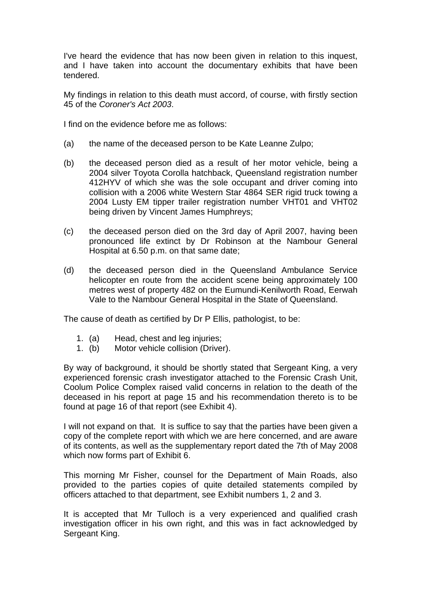I've heard the evidence that has now been given in relation to this inquest, and I have taken into account the documentary exhibits that have been tendered.

My findings in relation to this death must accord, of course, with firstly section 45 of the *Coroner's Act 2003*.

I find on the evidence before me as follows:

- (a) the name of the deceased person to be Kate Leanne Zulpo;
- (b) the deceased person died as a result of her motor vehicle, being a 2004 silver Toyota Corolla hatchback, Queensland registration number 412HYV of which she was the sole occupant and driver coming into collision with a 2006 white Western Star 4864 SER rigid truck towing a 2004 Lusty EM tipper trailer registration number VHT01 and VHT02 being driven by Vincent James Humphreys;
- (c) the deceased person died on the 3rd day of April 2007, having been pronounced life extinct by Dr Robinson at the Nambour General Hospital at 6.50 p.m. on that same date;
- (d) the deceased person died in the Queensland Ambulance Service helicopter en route from the accident scene being approximately 100 metres west of property 482 on the Eumundi-Kenilworth Road, Eerwah Vale to the Nambour General Hospital in the State of Queensland.

The cause of death as certified by Dr P Ellis, pathologist, to be:

- 1. (a) Head, chest and leg injuries;
- 1. (b) Motor vehicle collision (Driver).

By way of background, it should be shortly stated that Sergeant King, a very experienced forensic crash investigator attached to the Forensic Crash Unit, Coolum Police Complex raised valid concerns in relation to the death of the deceased in his report at page 15 and his recommendation thereto is to be found at page 16 of that report (see Exhibit 4).

I will not expand on that. It is suffice to say that the parties have been given a copy of the complete report with which we are here concerned, and are aware of its contents, as well as the supplementary report dated the 7th of May 2008 which now forms part of Exhibit 6.

This morning Mr Fisher, counsel for the Department of Main Roads, also provided to the parties copies of quite detailed statements compiled by officers attached to that department, see Exhibit numbers 1, 2 and 3.

It is accepted that Mr Tulloch is a very experienced and qualified crash investigation officer in his own right, and this was in fact acknowledged by Sergeant King.